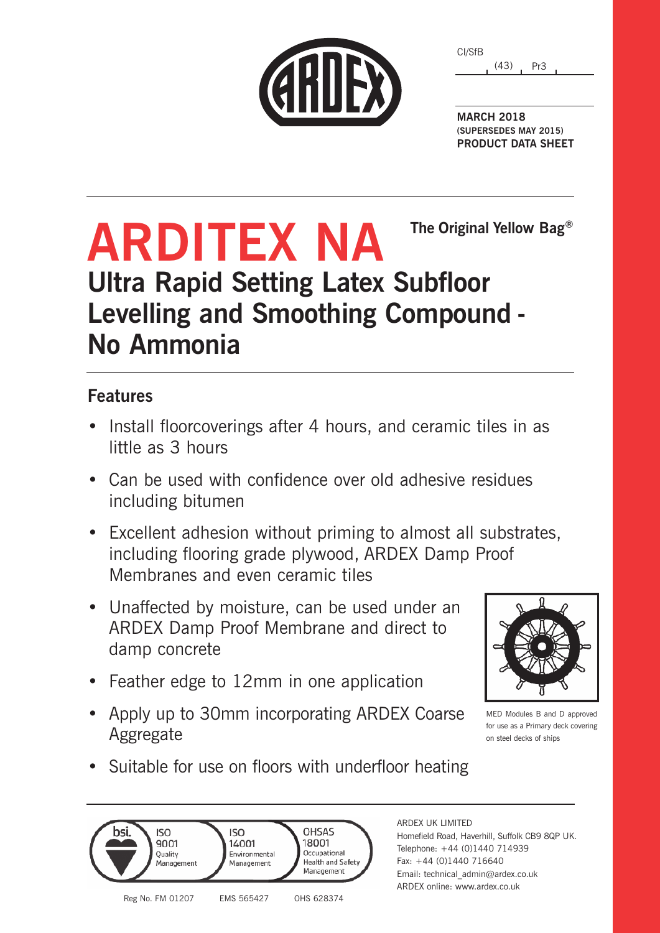| CARDE |  |  |
|-------|--|--|
|       |  |  |

(43) Pr3 CI/SfB

**MARCH 2018 (SUPERSEDES MAY 2015) PRODUCT DATA SHEET**

**The Original Yellow Bag®**

## **ARDITEX NA Ultra Rapid Setting Latex Subfloor Levelling and Smoothing Compound - No Ammonia**

### **Features**

- Install floorcoverings after 4 hours, and ceramic tiles in as little as 3 hours
- Can be used with confidence over old adhesive residues including bitumen
- Excellent adhesion without priming to almost all substrates, including flooring grade plywood, ARDEX Damp Proof Membranes and even ceramic tiles
- Unaffected by moisture, can be used under an ARDEX Damp Proof Membrane and direct to damp concrete
- Feather edge to 12mm in one application
- Apply up to 30mm incorporating ARDEX Coarse Aggregate



MED Modules B and D approved for use as a Primary deck covering on steel decks of ships

• Suitable for use on floors with underfloor heating



### ARDEX UK LIMITED

Homefield Road, Haverhill, Suffolk CB9 8QP UK. Telephone: +44 (0)1440 714939 Fax: +44 (0)1440 716640 Email: technical\_admin@ardex.co.uk ARDEX online: www.ardex.co.uk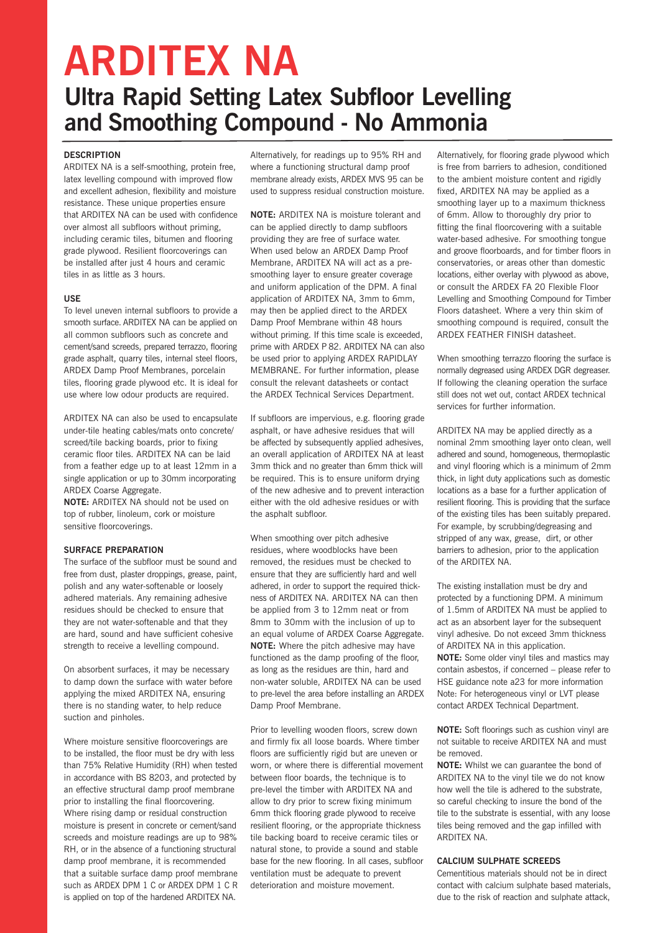# **ARDITEX NA**

## **Ultra Rapid Setting Latex Subfloor Levelling and Smoothing Compound - No Ammonia**

#### **DESCRIPTION**

ARDITEX NA is a self-smoothing, protein free, latex levelling compound with improved flow and excellent adhesion, flexibility and moisture resistance. These unique properties ensure that ARDITEX NA can be used with confidence over almost all subfloors without priming, including ceramic tiles, bitumen and flooring grade plywood. Resilient floorcoverings can be installed after just 4 hours and ceramic tiles in as little as 3 hours.

#### **USE**

To level uneven internal subfloors to provide a smooth surface. ARDITEX NA can be applied on all common subfloors such as concrete and cement/sand screeds, prepared terrazzo, flooring grade asphalt, quarry tiles, internal steel floors, ARDEX Damp Proof Membranes, porcelain tiles, flooring grade plywood etc. It is ideal for use where low odour products are required.

ARDITEX NA can also be used to encapsulate under-tile heating cables/mats onto concrete/ screed/tile backing boards, prior to fixing ceramic floor tiles. ARDITEX NA can be laid from a feather edge up to at least 12mm in a single application or up to 30mm incorporating ARDEX Coarse Aggregate.

**NOTE:** ARDITEX NA should not be used on top of rubber, linoleum, cork or moisture sensitive floorcoverings.

#### **SURFACE PREPARATION**

The surface of the subfloor must be sound and free from dust, plaster droppings, grease, paint, polish and any water-softenable or loosely adhered materials. Any remaining adhesive residues should be checked to ensure that they are not water-softenable and that they are hard, sound and have sufficient cohesive strength to receive a levelling compound.

On absorbent surfaces, it may be necessary to damp down the surface with water before applying the mixed ARDITEX NA, ensuring there is no standing water, to help reduce suction and pinholes.

Where moisture sensitive floorcoverings are to be installed, the floor must be dry with less than 75% Relative Humidity (RH) when tested in accordance with BS 8203, and protected by an effective structural damp proof membrane prior to installing the final floorcovering. Where rising damp or residual construction moisture is present in concrete or cement/sand screeds and moisture readings are up to 98% RH, or in the absence of a functioning structural damp proof membrane, it is recommended that a suitable surface damp proof membrane such as ARDEX DPM 1 C or ARDEX DPM 1 C R is applied on top of the hardened ARDITEX NA.

Alternatively, for readings up to 95% RH and where a functioning structural damp proof membrane already exists, ARDEX MVS 95 can be used to suppress residual construction moisture.

**NOTE:** ARDITEX NA is moisture tolerant and can be applied directly to damp subfloors providing they are free of surface water. When used below an ARDEX Damp Proof Membrane, ARDITEX NA will act as a presmoothing layer to ensure greater coverage and uniform application of the DPM. A final application of ARDITEX NA, 3mm to 6mm, may then be applied direct to the ARDEX Damp Proof Membrane within 48 hours without priming. If this time scale is exceeded, prime with ARDEX P 82. ARDITEX NA can also be used prior to applying ARDEX RAPIDLAY MEMBRANE. For further information, please consult the relevant datasheets or contact the ARDEX Technical Services Department.

If subfloors are impervious, e.g. flooring grade asphalt, or have adhesive residues that will be affected by subsequently applied adhesives, an overall application of ARDITEX NA at least 3mm thick and no greater than 6mm thick will be required. This is to ensure uniform drying of the new adhesive and to prevent interaction either with the old adhesive residues or with the asphalt subfloor.

When smoothing over pitch adhesive residues, where woodblocks have been removed, the residues must be checked to ensure that they are sufficiently hard and well adhered, in order to support the required thickness of ARDITEX NA. ARDITEX NA can then be applied from 3 to 12mm neat or from 8mm to 30mm with the inclusion of up to an equal volume of ARDEX Coarse Aggregate. **NOTE:** Where the pitch adhesive may have functioned as the damp proofing of the floor, as long as the residues are thin, hard and non-water soluble, ARDITEX NA can be used to pre-level the area before installing an ARDEX Damp Proof Membrane.

Prior to levelling wooden floors, screw down and firmly fix all loose boards. Where timber floors are sufficiently rigid but are uneven or worn, or where there is differential movement between floor boards, the technique is to pre-level the timber with ARDITEX NA and allow to dry prior to screw fixing minimum 6mm thick flooring grade plywood to receive resilient flooring, or the appropriate thickness tile backing board to receive ceramic tiles or natural stone, to provide a sound and stable base for the new flooring. In all cases, subfloor ventilation must be adequate to prevent deterioration and moisture movement.

Alternatively, for flooring grade plywood which is free from barriers to adhesion, conditioned to the ambient moisture content and rigidly fixed, ARDITEX NA may be applied as a smoothing layer up to a maximum thickness of 6mm. Allow to thoroughly dry prior to fitting the final floorcovering with a suitable water-based adhesive. For smoothing tongue and groove floorboards, and for timber floors in conservatories, or areas other than domestic locations, either overlay with plywood as above, or consult the ARDEX FA 20 Flexible Floor Levelling and Smoothing Compound for Timber Floors datasheet. Where a very thin skim of smoothing compound is required, consult the ARDEX FEATHER FINISH datasheet.

When smoothing terrazzo flooring the surface is normally degreased using ARDEX DGR degreaser. If following the cleaning operation the surface still does not wet out, contact ARDEX technical services for further information.

ARDITEX NA may be applied directly as a nominal 2mm smoothing layer onto clean, well adhered and sound, homogeneous, thermoplastic and vinyl flooring which is a minimum of 2mm thick, in light duty applications such as domestic locations as a base for a further application of resilient flooring. This is providing that the surface of the existing tiles has been suitably prepared. For example, by scrubbing/degreasing and stripped of any wax, grease, dirt, or other barriers to adhesion, prior to the application of the ARDITEX NA.

The existing installation must be dry and protected by a functioning DPM. A minimum of 1.5mm of ARDITEX NA must be applied to act as an absorbent layer for the subsequent vinyl adhesive. Do not exceed 3mm thickness of ARDITEX NA in this application. **NOTE:** Some older vinyl tiles and mastics may contain asbestos, if concerned – please refer to HSE guidance note a23 for more information Note: For heterogeneous vinyl or LVT please contact ARDEX Technical Department.

**NOTE:** Soft floorings such as cushion vinyl are not suitable to receive ARDITEX NA and must be removed.

**NOTE:** Whilst we can guarantee the bond of ARDITEX NA to the vinyl tile we do not know how well the tile is adhered to the substrate, so careful checking to insure the bond of the tile to the substrate is essential, with any loose tiles being removed and the gap infilled with ARDITEX NA.

#### **CALCIUM SULPHATE SCREEDS**

Cementitious materials should not be in direct contact with calcium sulphate based materials, due to the risk of reaction and sulphate attack,